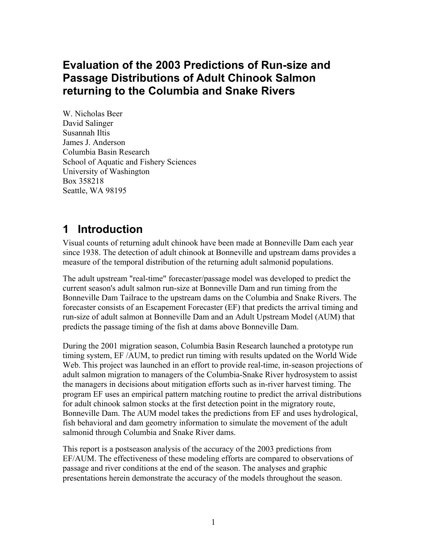## **Evaluation of the 2003 Predictions of Run-size and Passage Distributions of Adult Chinook Salmon returning to the Columbia and Snake Rivers**

W. Nicholas Beer David Salinger Susannah Iltis James J. Anderson Columbia Basin Research School of Aquatic and Fishery Sciences University of Washington Box 358218 Seattle, WA 98195

## **1 Introduction**

Visual counts of returning adult chinook have been made at Bonneville Dam each year since 1938. The detection of adult chinook at Bonneville and upstream dams provides a measure of the temporal distribution of the returning adult salmonid populations.

The adult upstream "real-time" forecaster/passage model was developed to predict the current season's adult salmon run-size at Bonneville Dam and run timing from the Bonneville Dam Tailrace to the upstream dams on the Columbia and Snake Rivers. The forecaster consists of an Escapement Forecaster (EF) that predicts the arrival timing and run-size of adult salmon at Bonneville Dam and an Adult Upstream Model (AUM) that predicts the passage timing of the fish at dams above Bonneville Dam.

During the 2001 migration season, Columbia Basin Research launched a prototype run timing system, EF /AUM, to predict run timing with results updated on the World Wide Web. This project was launched in an effort to provide real-time, in-season projections of adult salmon migration to managers of the Columbia-Snake River hydrosystem to assist the managers in decisions about mitigation efforts such as in-river harvest timing. The program EF uses an empirical pattern matching routine to predict the arrival distributions for adult chinook salmon stocks at the first detection point in the migratory route, Bonneville Dam. The AUM model takes the predictions from EF and uses hydrological, fish behavioral and dam geometry information to simulate the movement of the adult salmonid through Columbia and Snake River dams.

This report is a postseason analysis of the accuracy of the 2003 predictions from EF/AUM. The effectiveness of these modeling efforts are compared to observations of passage and river conditions at the end of the season. The analyses and graphic presentations herein demonstrate the accuracy of the models throughout the season.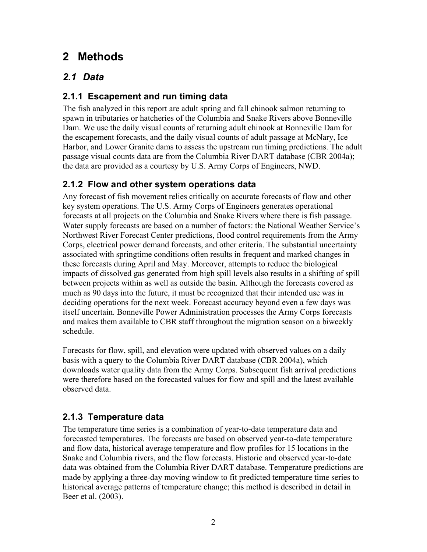# **2 Methods**

### *2.1 Data*

#### **2.1.1 Escapement and run timing data**

The fish analyzed in this report are adult spring and fall chinook salmon returning to spawn in tributaries or hatcheries of the Columbia and Snake Rivers above Bonneville Dam. We use the daily visual counts of returning adult chinook at Bonneville Dam for the escapement forecasts, and the daily visual counts of adult passage at McNary, Ice Harbor, and Lower Granite dams to assess the upstream run timing predictions. The adult passage visual counts data are from the Columbia River DART database (CBR 2004a); the data are provided as a courtesy by U.S. Army Corps of Engineers, NWD.

#### **2.1.2 Flow and other system operations data**

Any forecast of fish movement relies critically on accurate forecasts of flow and other key system operations. The U.S. Army Corps of Engineers generates operational forecasts at all projects on the Columbia and Snake Rivers where there is fish passage. Water supply forecasts are based on a number of factors: the National Weather Service's Northwest River Forecast Center predictions, flood control requirements from the Army Corps, electrical power demand forecasts, and other criteria. The substantial uncertainty associated with springtime conditions often results in frequent and marked changes in these forecasts during April and May. Moreover, attempts to reduce the biological impacts of dissolved gas generated from high spill levels also results in a shifting of spill between projects within as well as outside the basin. Although the forecasts covered as much as 90 days into the future, it must be recognized that their intended use was in deciding operations for the next week. Forecast accuracy beyond even a few days was itself uncertain. Bonneville Power Administration processes the Army Corps forecasts and makes them available to CBR staff throughout the migration season on a biweekly schedule.

Forecasts for flow, spill, and elevation were updated with observed values on a daily basis with a query to the Columbia River DART database (CBR 2004a), which downloads water quality data from the Army Corps. Subsequent fish arrival predictions were therefore based on the forecasted values for flow and spill and the latest available observed data.

### **2.1.3 Temperature data**

The temperature time series is a combination of year-to-date temperature data and forecasted temperatures. The forecasts are based on observed year-to-date temperature and flow data, historical average temperature and flow profiles for 15 locations in the Snake and Columbia rivers, and the flow forecasts. Historic and observed year-to-date data was obtained from the Columbia River DART database. Temperature predictions are made by applying a three-day moving window to fit predicted temperature time series to historical average patterns of temperature change; this method is described in detail in Beer et al. (2003).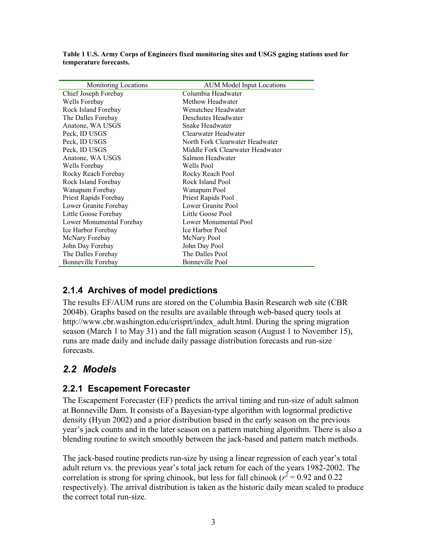| Monitoring Locations     | <b>AUM Model Input Locations</b> |  |  |
|--------------------------|----------------------------------|--|--|
| Chief Joseph Forebay     | Columbia Headwater               |  |  |
| Wells Forebay            | Methow Headwater                 |  |  |
| Rock Island Forebay      | Wenatchee Headwater              |  |  |
| The Dalles Forebay       | Deschutes Headwater              |  |  |
| Anatone, WA USGS         | Snake Headwater                  |  |  |
| Peck, ID USGS            | Clearwater Headwater             |  |  |
| Peck, ID USGS            | North Fork Clearwater Headwater  |  |  |
| Peck, ID USGS            | Middle Fork Clearwater Headwater |  |  |
| Anatone, WA USGS         | Salmon Headwater                 |  |  |
| Wells Forebay            | Wells Pool                       |  |  |
| Rocky Reach Forebay      | Rocky Reach Pool                 |  |  |
| Rock Island Forebay      | Rock Island Pool                 |  |  |
| Wanapum Forebay          | Wanapum Pool                     |  |  |
| Priest Rapids Forebay    | Priest Rapids Pool               |  |  |
| Lower Granite Forebay    | Lower Granite Pool               |  |  |
| Little Goose Forebay     | Little Goose Pool                |  |  |
| Lower Monumental Forebay | Lower Monumental Pool            |  |  |
| Ice Harbor Forebay       | Ice Harbor Pool                  |  |  |
| McNary Forebay           | McNary Pool                      |  |  |
| John Day Forebay         | John Day Pool                    |  |  |
| The Dalles Forebay       | The Dalles Pool                  |  |  |
| Bonneville Forebay       | Bonneville Pool                  |  |  |

**Table 1 U.S. Army Corps of Engineers fixed monitoring sites and USGS gaging stations used for temperature forecasts.** 

#### **2.1.4 Archives of model predictions**

The results EF/AUM runs are stored on the Columbia Basin Research web site (CBR 2004b). Graphs based on the results are available through web-based query tools at http://www.cbr.washington.edu/crisprt/index\_adult.html. During the spring migration season (March 1 to May 31) and the fall migration season (August 1 to November 15), runs are made daily and include daily passage distribution forecasts and run-size forecasts.

### *2.2 Models*

#### **2.2.1 Escapement Forecaster**

The Escapement Forecaster (EF) predicts the arrival timing and run-size of adult salmon at Bonneville Dam. It consists of a Bayesian-type algorithm with lognormal predictive density (Hyun 2002) and a prior distribution based in the early season on the previous year's jack counts and in the later season on a pattern matching algorithm. There is also a blending routine to switch smoothly between the jack-based and pattern match methods.

The jack-based routine predicts run-size by using a linear regression of each year's total adult return vs. the previous year's total jack return for each of the years 1982-2002. The correlation is strong for spring chinook, but less for fall chinook ( $r^2$  = 0.92 and 0.22 respectively). The arrival distribution is taken as the historic daily mean scaled to produce the correct total run-size.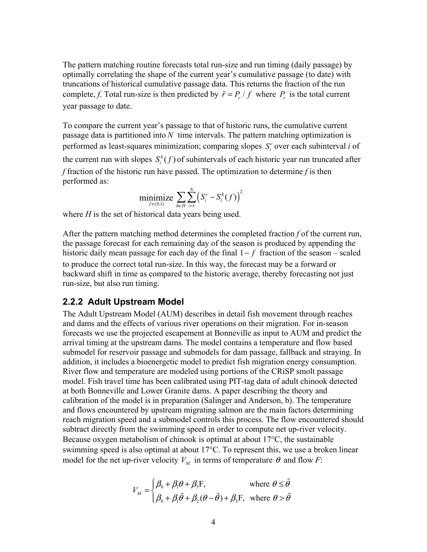The pattern matching routine forecasts total run-size and run timing (daily passage) by optimally correlating the shape of the current year's cumulative passage (to date) with truncations of historical cumulative passage data. This returns the fraction of the run complete, *f*. Total run-size is then predicted by  $\tilde{r} = P_c / f$  where  $P_c$  is the total current year passage to date.

To compare the current year's passage to that of historic runs, the cumulative current passage data is partitioned into *N* time intervals. The pattern matching optimization is performed as least-squares minimization; comparing slopes  $S_i^c$  over each subinterval *i* of the current run with slopes  $S_i^h(f)$  of subintervals of each historic year run truncated after *f* fraction of the historic run have passed. The optimization to determine *f* is then performed as:

$$
\underset{f \in (0,1)}{\text{minimize}} \sum_{h \in H} \sum_{i=1}^{N} \left( S_i^c - S_i^h(f) \right)^2
$$

where *H* is the set of historical data years being used.

After the pattern matching method determines the completed fraction *f* of the current run, the passage forecast for each remaining day of the season is produced by appending the historic daily mean passage for each day of the final 1− *f* fraction of the season – scaled to produce the correct total run-size. In this way, the forecast may be a forward or backward shift in time as compared to the historic average, thereby forecasting not just run-size, but also run timing.

#### **2.2.2 Adult Upstream Model**

The Adult Upstream Model (AUM) describes in detail fish movement through reaches and dams and the effects of various river operations on their migration. For in-season forecasts we use the projected escapement at Bonneville as input to AUM and predict the arrival timing at the upstream dams. The model contains a temperature and flow based submodel for reservoir passage and submodels for dam passage, fallback and straying. In addition, it includes a bioenergetic model to predict fish migration energy consumption. River flow and temperature are modeled using portions of the CRiSP smolt passage model. Fish travel time has been calibrated using PIT-tag data of adult chinook detected at both Bonneville and Lower Granite dams. A paper describing the theory and calibration of the model is in preparation (Salinger and Anderson, b). The temperature and flows encountered by upstream migrating salmon are the main factors determining reach migration speed and a submodel controls this process. The flow encountered should subtract directly from the swimming speed in order to compute net up-river velocity. Because oxygen metabolism of chinook is optimal at about 17°C, the sustainable swimming speed is also optimal at about 17°C. To represent this, we use a broken linear model for the net up-river velocity  $V_M$  in terms of temperature  $\theta$  and flow *F*:

$$
V_M = \begin{cases} \beta_0 + \beta_1 \theta + \beta_3 \mathbf{F}, & \text{where } \theta \le \tilde{\theta} \\ \beta_0 + \beta_1 \tilde{\theta} + \beta_2 (\theta - \tilde{\theta}) + \beta_3 \mathbf{F}, & \text{where } \theta > \tilde{\theta} \end{cases}
$$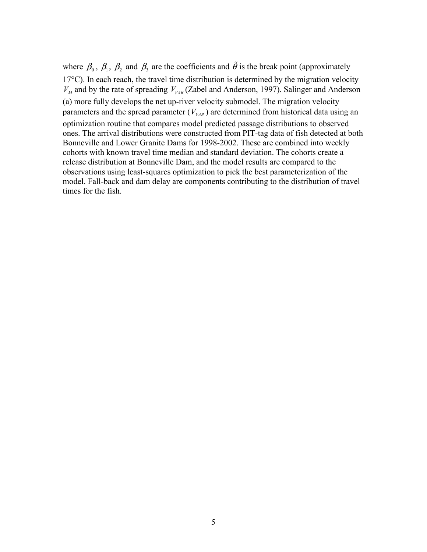where  $\beta_0$ ,  $\beta_1$ ,  $\beta_2$  and  $\beta_3$  are the coefficients and  $\tilde{\theta}$  is the break point (approximately  $17^{\circ}$ C). In each reach, the travel time distribution is determined by the migration velocity  $V_M$  and by the rate of spreading  $V_{VAR}$  (Zabel and Anderson, 1997). Salinger and Anderson (a) more fully develops the net up-river velocity submodel. The migration velocity parameters and the spread parameter  $(V_{VAR})$  are determined from historical data using an optimization routine that compares model predicted passage distributions to observed ones. The arrival distributions were constructed from PIT-tag data of fish detected at both Bonneville and Lower Granite Dams for 1998-2002. These are combined into weekly cohorts with known travel time median and standard deviation. The cohorts create a release distribution at Bonneville Dam, and the model results are compared to the observations using least-squares optimization to pick the best parameterization of the model. Fall-back and dam delay are components contributing to the distribution of travel times for the fish.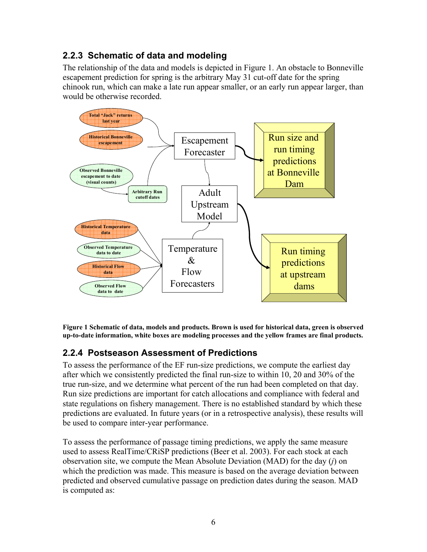### **2.2.3 Schematic of data and modeling**

The relationship of the data and models is depicted in Figure 1. An obstacle to Bonneville escapement prediction for spring is the arbitrary May 31 cut-off date for the spring chinook run, which can make a late run appear smaller, or an early run appear larger, than would be otherwise recorded.



**Figure 1 Schematic of data, models and products. Brown is used for historical data, green is observed up-to-date information, white boxes are modeling processes and the yellow frames are final products.** 

#### **2.2.4 Postseason Assessment of Predictions**

To assess the performance of the EF run-size predictions, we compute the earliest day after which we consistently predicted the final run-size to within 10, 20 and 30% of the true run-size, and we determine what percent of the run had been completed on that day. Run size predictions are important for catch allocations and compliance with federal and state regulations on fishery management. There is no established standard by which these predictions are evaluated. In future years (or in a retrospective analysis), these results will be used to compare inter-year performance.

To assess the performance of passage timing predictions, we apply the same measure used to assess RealTime/CRiSP predictions (Beer et al. 2003). For each stock at each observation site, we compute the Mean Absolute Deviation (MAD) for the day (*j*) on which the prediction was made. This measure is based on the average deviation between predicted and observed cumulative passage on prediction dates during the season. MAD is computed as: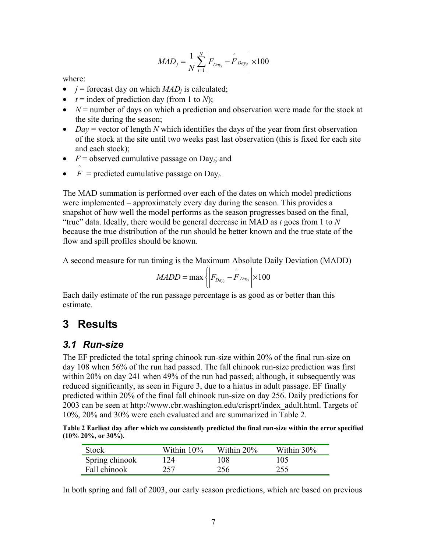$$
MAD_{j} = \frac{1}{N} \sum_{t=1}^{N} \left| F_{Day_{t}} - \hat{F}_{Day_{t}} \right| \times 100
$$

where:

- $j =$  forecast day on which  $MAD<sub>i</sub>$  is calculated;
- $t =$  index of prediction day (from 1 to *N*);
- $N =$  number of days on which a prediction and observation were made for the stock at the site during the season;
- *Day* = vector of length *N* which identifies the days of the year from first observation of the stock at the site until two weeks past last observation (this is fixed for each site and each stock);
- $F =$  observed cumulative passage on Day<sub>*i*</sub>; and
- $\hat{F}$  = predicted cumulative passage on Day<sub>t</sub>.

The MAD summation is performed over each of the dates on which model predictions were implemented – approximately every day during the season. This provides a snapshot of how well the model performs as the season progresses based on the final, "true" data. Ideally, there would be general decrease in MAD as *t* goes from 1 to *N* because the true distribution of the run should be better known and the true state of the flow and spill profiles should be known.

A second measure for run timing is the Maximum Absolute Daily Deviation (MADD)

$$
MADD = \max \left\{ \left| F_{Day_i} - \hat{F}_{Day_i} \right| \times 100 \right\}
$$

Each daily estimate of the run passage percentage is as good as or better than this estimate.

### **3 Results**

#### *3.1 Run-size*

The EF predicted the total spring chinook run-size within 20% of the final run-size on day 108 when 56% of the run had passed. The fall chinook run-size prediction was first within 20% on day 241 when 49% of the run had passed; although, it subsequently was reduced significantly, as seen in Figure 3, due to a hiatus in adult passage. EF finally predicted within 20% of the final fall chinook run-size on day 256. Daily predictions for 2003 can be seen at http://www.cbr.washington.edu/crisprt/index\_adult.html. Targets of 10%, 20% and 30% were each evaluated and are summarized in Table 2.

**Table 2 Earliest day after which we consistently predicted the final run-size within the error specified (10% 20%, or 30%).** 

| <b>Stock</b>   | Within 10% | Within 20% | Within 30% |
|----------------|------------|------------|------------|
| Spring chinook | 124        | 108        | 105        |
| Fall chinook   | 257        | 256        | 255        |

In both spring and fall of 2003, our early season predictions, which are based on previous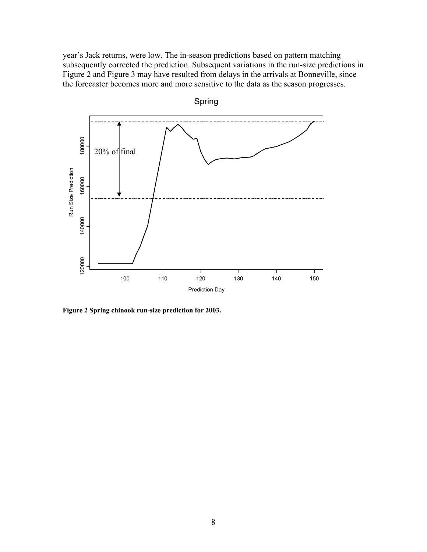year's Jack returns, were low. The in-season predictions based on pattern matching subsequently corrected the prediction. Subsequent variations in the run-size predictions in Figure 2 and Figure 3 may have resulted from delays in the arrivals at Bonneville, since the forecaster becomes more and more sensitive to the data as the season progresses.



**Figure 2 Spring chinook run-size prediction for 2003.**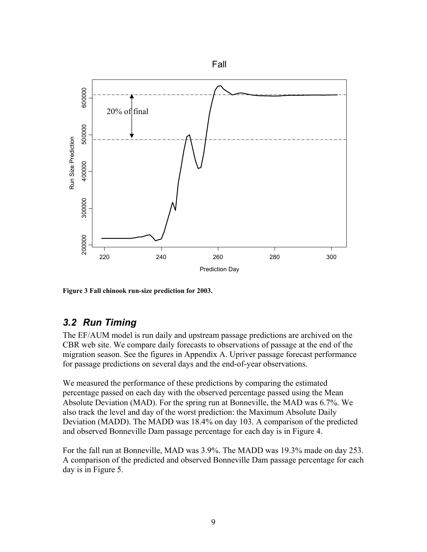

**Figure 3 Fall chinook run-size prediction for 2003.** 

#### *3.2 Run Timing*

The EF/AUM model is run daily and upstream passage predictions are archived on the CBR web site. We compare daily forecasts to observations of passage at the end of the migration season. See the figures in Appendix A. Upriver passage forecast performance for passage predictions on several days and the end-of-year observations.

We measured the performance of these predictions by comparing the estimated percentage passed on each day with the observed percentage passed using the Mean Absolute Deviation (MAD). For the spring run at Bonneville, the MAD was 6.7%. We also track the level and day of the worst prediction: the Maximum Absolute Daily Deviation (MADD). The MADD was 18.4% on day 103. A comparison of the predicted and observed Bonneville Dam passage percentage for each day is in Figure 4.

For the fall run at Bonneville, MAD was 3.9%. The MADD was 19.3% made on day 253. A comparison of the predicted and observed Bonneville Dam passage percentage for each day is in Figure 5.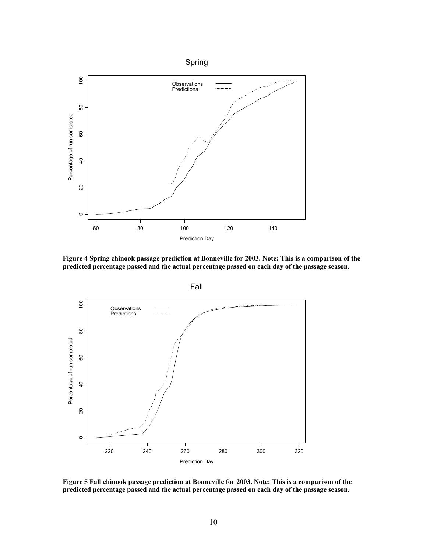

**Figure 4 Spring chinook passage prediction at Bonneville for 2003. Note: This is a comparison of the predicted percentage passed and the actual percentage passed on each day of the passage season.** 



**Figure 5 Fall chinook passage prediction at Bonneville for 2003. Note: This is a comparison of the predicted percentage passed and the actual percentage passed on each day of the passage season.**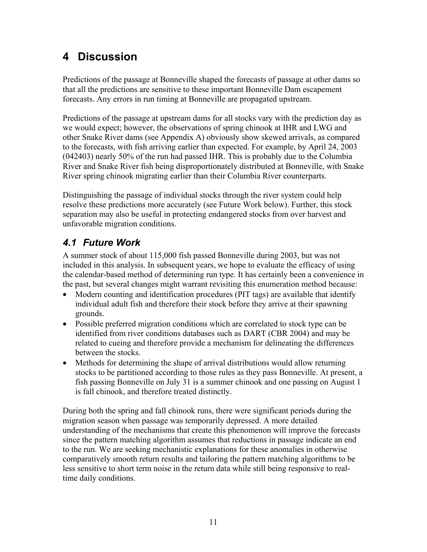# **4 Discussion**

Predictions of the passage at Bonneville shaped the forecasts of passage at other dams so that all the predictions are sensitive to these important Bonneville Dam escapement forecasts. Any errors in run timing at Bonneville are propagated upstream.

Predictions of the passage at upstream dams for all stocks vary with the prediction day as we would expect; however, the observations of spring chinook at IHR and LWG and other Snake River dams (see Appendix A) obviously show skewed arrivals, as compared to the forecasts, with fish arriving earlier than expected. For example, by April 24, 2003 (042403) nearly 50% of the run had passed IHR. This is probably due to the Columbia River and Snake River fish being disproportionately distributed at Bonneville, with Snake River spring chinook migrating earlier than their Columbia River counterparts.

Distinguishing the passage of individual stocks through the river system could help resolve these predictions more accurately (see Future Work below). Further, this stock separation may also be useful in protecting endangered stocks from over harvest and unfavorable migration conditions.

### *4.1 Future Work*

A summer stock of about 115,000 fish passed Bonneville during 2003, but was not included in this analysis. In subsequent years, we hope to evaluate the efficacy of using the calendar-based method of determining run type. It has certainly been a convenience in the past, but several changes might warrant revisiting this enumeration method because:

- Modern counting and identification procedures (PIT tags) are available that identify individual adult fish and therefore their stock before they arrive at their spawning grounds.
- Possible preferred migration conditions which are correlated to stock type can be identified from river conditions databases such as DART (CBR 2004) and may be related to cueing and therefore provide a mechanism for delineating the differences between the stocks.
- Methods for determining the shape of arrival distributions would allow returning stocks to be partitioned according to those rules as they pass Bonneville. At present, a fish passing Bonneville on July 31 is a summer chinook and one passing on August 1 is fall chinook, and therefore treated distinctly.

During both the spring and fall chinook runs, there were significant periods during the migration season when passage was temporarily depressed. A more detailed understanding of the mechanisms that create this phenomenon will improve the forecasts since the pattern matching algorithm assumes that reductions in passage indicate an end to the run. We are seeking mechanistic explanations for these anomalies in otherwise comparatively smooth return results and tailoring the pattern matching algorithms to be less sensitive to short term noise in the return data while still being responsive to realtime daily conditions.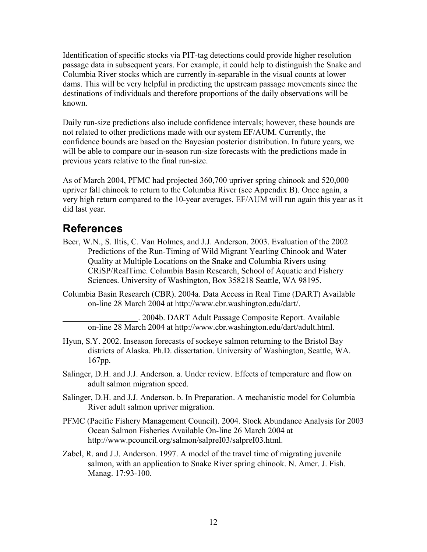Identification of specific stocks via PIT-tag detections could provide higher resolution passage data in subsequent years. For example, it could help to distinguish the Snake and Columbia River stocks which are currently in-separable in the visual counts at lower dams. This will be very helpful in predicting the upstream passage movements since the destinations of individuals and therefore proportions of the daily observations will be known.

Daily run-size predictions also include confidence intervals; however, these bounds are not related to other predictions made with our system EF/AUM. Currently, the confidence bounds are based on the Bayesian posterior distribution. In future years, we will be able to compare our in-season run-size forecasts with the predictions made in previous years relative to the final run-size.

As of March 2004, PFMC had projected 360,700 upriver spring chinook and 520,000 upriver fall chinook to return to the Columbia River (see Appendix B). Once again, a very high return compared to the 10-year averages. EF/AUM will run again this year as it did last year.

### **References**

- Beer, W.N., S. Iltis, C. Van Holmes, and J.J. Anderson. 2003. Evaluation of the 2002 Predictions of the Run-Timing of Wild Migrant Yearling Chinook and Water Quality at Multiple Locations on the Snake and Columbia Rivers using CRiSP/RealTime. Columbia Basin Research, School of Aquatic and Fishery Sciences. University of Washington, Box 358218 Seattle, WA 98195.
- Columbia Basin Research (CBR). 2004a. Data Access in Real Time (DART) Available on-line 28 March 2004 at http://www.cbr.washington.edu/dart/.

 . 2004b. DART Adult Passage Composite Report. Available on-line 28 March 2004 at http://www.cbr.washington.edu/dart/adult.html.

- Hyun, S.Y. 2002. Inseason forecasts of sockeye salmon returning to the Bristol Bay districts of Alaska. Ph.D. dissertation. University of Washington, Seattle, WA. 167pp.
- Salinger, D.H. and J.J. Anderson. a. Under review. Effects of temperature and flow on adult salmon migration speed.
- Salinger, D.H. and J.J. Anderson. b. In Preparation. A mechanistic model for Columbia River adult salmon upriver migration.
- PFMC (Pacific Fishery Management Council). 2004. Stock Abundance Analysis for 2003 Ocean Salmon Fisheries Available On-line 26 March 2004 at http://www.pcouncil.org/salmon/salpreI03/salpreI03.html.
- Zabel, R. and J.J. Anderson. 1997. A model of the travel time of migrating juvenile salmon, with an application to Snake River spring chinook. N. Amer. J. Fish. Manag. 17:93-100.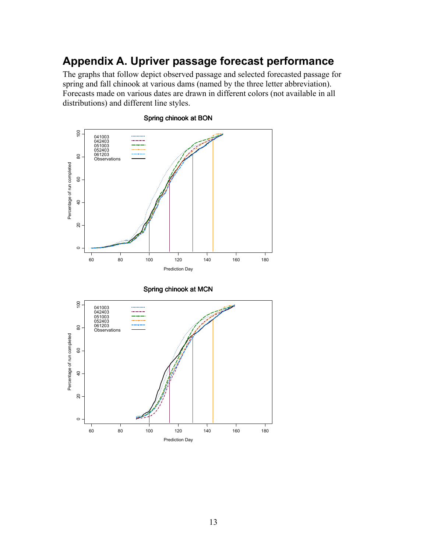## **Appendix A. Upriver passage forecast performance**

The graphs that follow depict observed passage and selected forecasted passage for spring and fall chinook at various dams (named by the three letter abbreviation). Forecasts made on various dates are drawn in different colors (not available in all distributions) and different line styles.



#### Spring chinook at BON



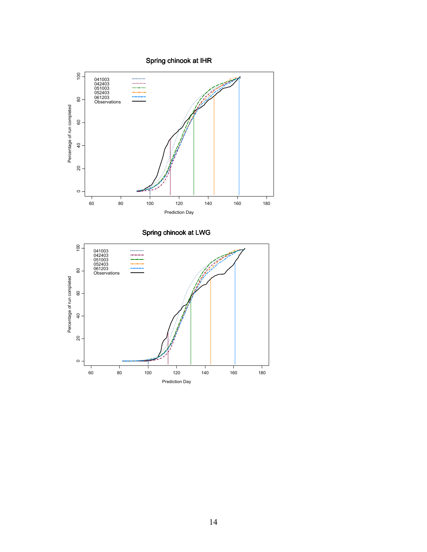Spring chinook at IHR



Spring chinook at LWG

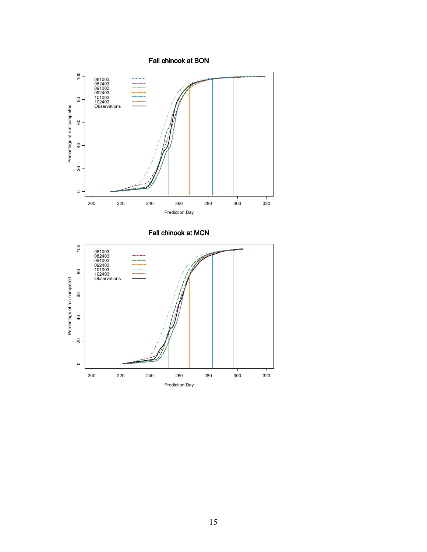Fall chinook at BON



Fall chinook at MCN

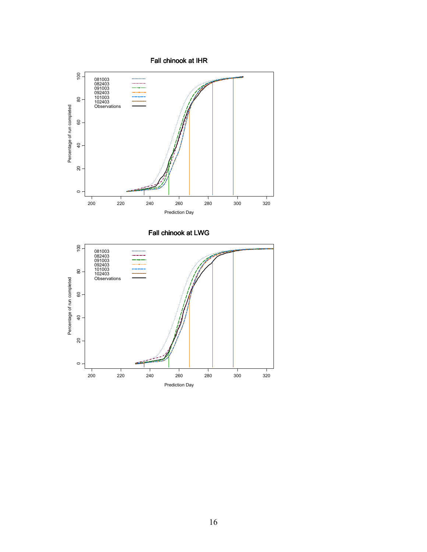Fall chinook at IHR



Fall chinook at LWG